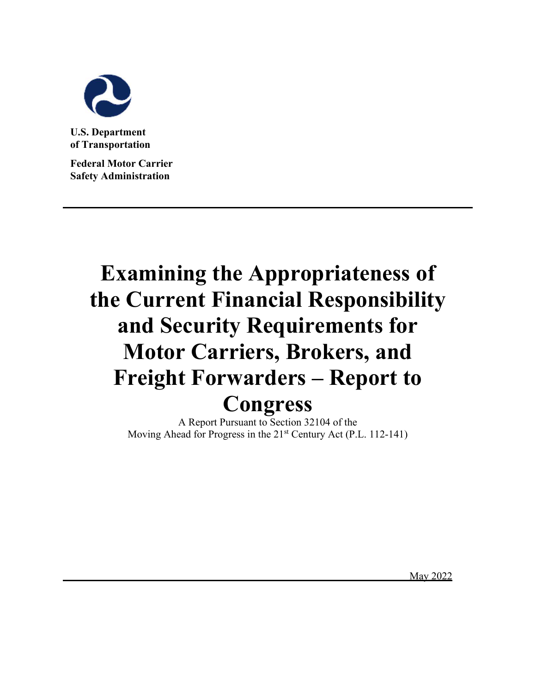

**U.S. Department of Transportation** 

**Federal Motor Carrier Safety Administration**

# **Examining the Appropriateness of the Current Financial Responsibility and Security Requirements for Motor Carriers, Brokers, and Freight Forwarders – Report to Congress**

A Report Pursuant to Section 32104 of the Moving Ahead for Progress in the 21<sup>st</sup> Century Act (P.L. 112-141)

May 2022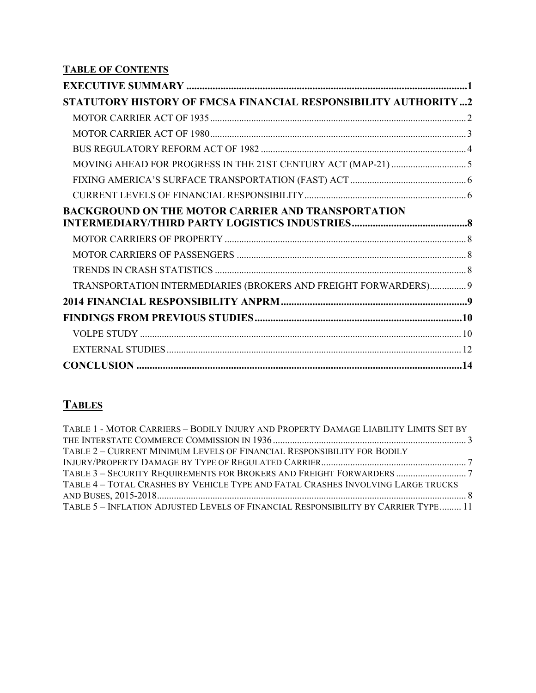**TABLE OF CONTENTS** 

| STATUTORY HISTORY OF FMCSA FINANCIAL RESPONSIBILITY AUTHORITY2   |  |
|------------------------------------------------------------------|--|
|                                                                  |  |
|                                                                  |  |
|                                                                  |  |
|                                                                  |  |
|                                                                  |  |
|                                                                  |  |
| <b>BACKGROUND ON THE MOTOR CARRIER AND TRANSPORTATION</b>        |  |
|                                                                  |  |
|                                                                  |  |
|                                                                  |  |
| TRANSPORTATION INTERMEDIARIES (BROKERS AND FREIGHT FORWARDERS) 9 |  |
|                                                                  |  |
|                                                                  |  |
|                                                                  |  |
|                                                                  |  |
|                                                                  |  |

# **TABLES**

| TABLE 1 - MOTOR CARRIERS - BODILY INJURY AND PROPERTY DAMAGE LIABILITY LIMITS SET BY |  |
|--------------------------------------------------------------------------------------|--|
|                                                                                      |  |
| TABLE 2 - CURRENT MINIMUM LEVELS OF FINANCIAL RESPONSIBILITY FOR BODILY              |  |
|                                                                                      |  |
|                                                                                      |  |
| TABLE 4 - TOTAL CRASHES BY VEHICLE TYPE AND FATAL CRASHES INVOLVING LARGE TRUCKS     |  |
|                                                                                      |  |
| TABLE 5 - INFLATION ADJUSTED LEVELS OF FINANCIAL RESPONSIBILITY BY CARRIER TYPE 11   |  |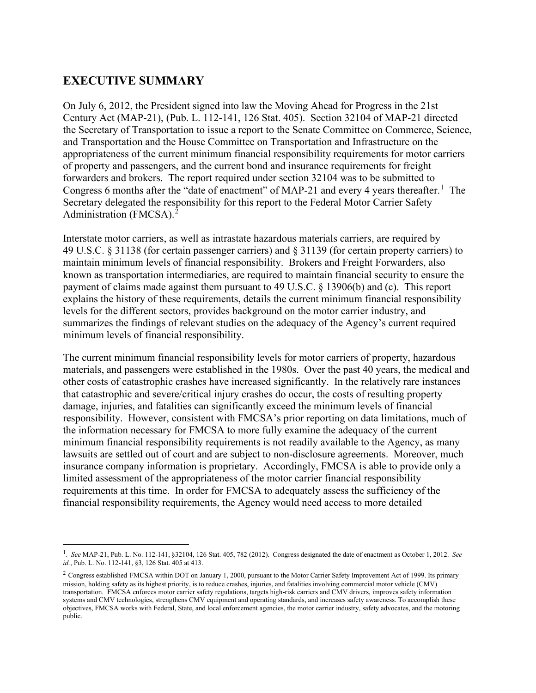# <span id="page-2-0"></span>**EXECUTIVE SUMMARY**

On July 6, 2012, the President signed into law the Moving Ahead for Progress in the 21st Century Act (MAP-21), (Pub. L. 112-141, 126 Stat. 405). Section 32104 of MAP-21 directed the Secretary of Transportation to issue a report to the Senate Committee on Commerce, Science, and Transportation and the House Committee on Transportation and Infrastructure on the appropriateness of the current minimum financial responsibility requirements for motor carriers of property and passengers, and the current bond and insurance requirements for freight forwarders and brokers. The report required under section 32104 was to be submitted to Congress 6 months after the "date of enactment" of MAP-2[1](#page-2-1) and every 4 years thereafter.<sup>1</sup> The Secretary delegated the responsibility for this report to the Federal Motor Carrier Safety Administration (FMCSA).<sup>[2](#page-2-2)</sup>

Interstate motor carriers, as well as intrastate hazardous materials carriers, are required by 49 U.S.C. § 31138 (for certain passenger carriers) and § 31139 (for certain property carriers) to maintain minimum levels of financial responsibility. Brokers and Freight Forwarders, also known as transportation intermediaries, are required to maintain financial security to ensure the payment of claims made against them pursuant to 49 U.S.C. § 13906(b) and (c). This report explains the history of these requirements, details the current minimum financial responsibility levels for the different sectors, provides background on the motor carrier industry, and summarizes the findings of relevant studies on the adequacy of the Agency's current required minimum levels of financial responsibility.

The current minimum financial responsibility levels for motor carriers of property, hazardous materials, and passengers were established in the 1980s. Over the past 40 years, the medical and other costs of catastrophic crashes have increased significantly. In the relatively rare instances that catastrophic and severe/critical injury crashes do occur, the costs of resulting property damage, injuries, and fatalities can significantly exceed the minimum levels of financial responsibility. However, consistent with FMCSA's prior reporting on data limitations, much of the information necessary for FMCSA to more fully examine the adequacy of the current minimum financial responsibility requirements is not readily available to the Agency, as many lawsuits are settled out of court and are subject to non-disclosure agreements. Moreover, much insurance company information is proprietary. Accordingly, FMCSA is able to provide only a limited assessment of the appropriateness of the motor carrier financial responsibility requirements at this time. In order for FMCSA to adequately assess the sufficiency of the financial responsibility requirements, the Agency would need access to more detailed

<span id="page-2-1"></span><sup>1</sup> . *See* MAP-21, Pub. L. No. 112-141, §32104, 126 Stat. 405, 782 (2012). Congress designated the date of enactment as October 1, 2012. *See id.*, Pub. L. No. 112-141, §3, 126 Stat. 405 at 413.

<span id="page-2-2"></span><sup>&</sup>lt;sup>2</sup> Congress established FMCSA within DOT on January 1, 2000, pursuant to the Motor Carrier Safety Improvement Act of 1999. Its primary mission, holding safety as its highest priority, is to reduce crashes, injuries, and fatalities involving commercial motor vehicle (CMV) transportation. FMCSA enforces motor carrier safety regulations, targets high-risk carriers and CMV drivers, improves safety information systems and CMV technologies, strengthens CMV equipment and operating standards, and increases safety awareness. To accomplish these objectives, FMCSA works with Federal, State, and local enforcement agencies, the motor carrier industry, safety advocates, and the motoring public.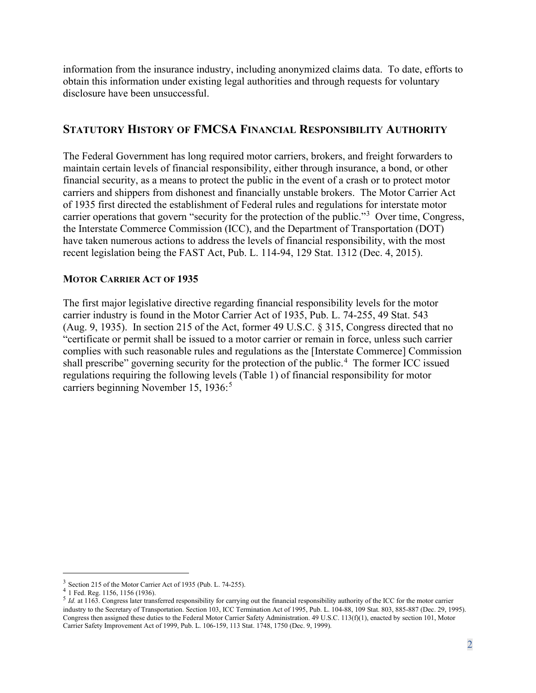information from the insurance industry, including anonymized claims data. To date, efforts to obtain this information under existing legal authorities and through requests for voluntary disclosure have been unsuccessful.

## <span id="page-3-0"></span>**STATUTORY HISTORY OF FMCSA FINANCIAL RESPONSIBILITY AUTHORITY**

The Federal Government has long required motor carriers, brokers, and freight forwarders to maintain certain levels of financial responsibility, either through insurance, a bond, or other financial security, as a means to protect the public in the event of a crash or to protect motor carriers and shippers from dishonest and financially unstable brokers. The Motor Carrier Act of 1935 first directed the establishment of Federal rules and regulations for interstate motor carrier operations that govern "security for the protection of the public."<sup>[3](#page-3-2)</sup> Over time, Congress, the Interstate Commerce Commission (ICC), and the Department of Transportation (DOT) have taken numerous actions to address the levels of financial responsibility, with the most recent legislation being the FAST Act, Pub. L. 114-94, 129 Stat. 1312 (Dec. 4, 2015).

#### <span id="page-3-1"></span>**MOTOR CARRIER ACT OF 1935**

The first major legislative directive regarding financial responsibility levels for the motor carrier industry is found in the Motor Carrier Act of 1935, Pub. L. 74-255, 49 Stat. 543 (Aug. 9, 1935). In section 215 of the Act, former 49 U.S.C. § 315, Congress directed that no "certificate or permit shall be issued to a motor carrier or remain in force, unless such carrier complies with such reasonable rules and regulations as the [Interstate Commerce] Commission shall prescribe" governing security for the protection of the public.<sup>[4](#page-3-3)</sup> The former ICC issued regulations requiring the following levels (Table 1) of financial responsibility for motor carriers beginning November 1[5](#page-3-4), 1936:<sup>5</sup>

<span id="page-3-4"></span><span id="page-3-3"></span>

<span id="page-3-2"></span><sup>&</sup>lt;sup>3</sup> Section 215 of the Motor Carrier Act of 1935 (Pub. L. 74-255).<br>
<sup>4</sup> 1 Fed. Reg. 1156, 1156 (1936).<br>
<sup>5</sup> *Id.* at 1163. Congress later transferred responsibility for carrying out the financial responsibility authority industry to the Secretary of Transportation. Section 103, ICC Termination Act of 1995, Pub. L. 104-88, 109 Stat. 803, 885-887 (Dec. 29, 1995). Congress then assigned these duties to the Federal Motor Carrier Safety Administration. 49 U.S.C. 113(f)(1), enacted by section 101, Motor Carrier Safety Improvement Act of 1999, Pub. L. 106-159, 113 Stat. 1748, 1750 (Dec. 9, 1999).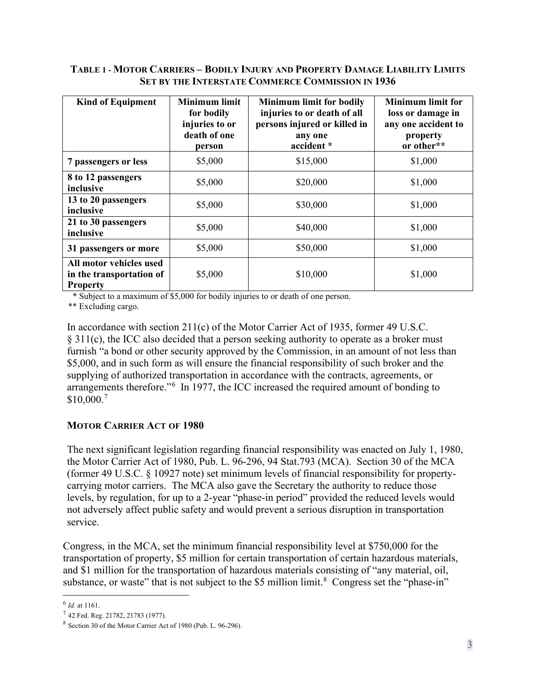#### <span id="page-4-1"></span>**TABLE 1 - MOTOR CARRIERS – BODILY INJURY AND PROPERTY DAMAGE LIABILITY LIMITS SET BY THE INTERSTATE COMMERCE COMMISSION IN 1936**

| <b>Kind of Equipment</b>                                               | <b>Minimum limit</b><br>for bodily<br>injuries to or<br>death of one<br>person | <b>Minimum limit for bodily</b><br>injuries to or death of all<br>persons injured or killed in<br>any one<br>accident * | <b>Minimum limit for</b><br>loss or damage in<br>any one accident to<br>property<br>or other** |
|------------------------------------------------------------------------|--------------------------------------------------------------------------------|-------------------------------------------------------------------------------------------------------------------------|------------------------------------------------------------------------------------------------|
| 7 passengers or less                                                   | \$5,000                                                                        | \$15,000                                                                                                                | \$1,000                                                                                        |
| 8 to 12 passengers<br>inclusive                                        | \$5,000                                                                        | \$20,000                                                                                                                | \$1,000                                                                                        |
| 13 to 20 passengers<br>inclusive                                       | \$5,000                                                                        | \$30,000                                                                                                                | \$1,000                                                                                        |
| 21 to 30 passengers<br>inclusive                                       | \$5,000                                                                        | \$40,000                                                                                                                | \$1,000                                                                                        |
| 31 passengers or more                                                  | \$5,000                                                                        | \$50,000                                                                                                                | \$1,000                                                                                        |
| All motor vehicles used<br>in the transportation of<br><b>Property</b> | \$5,000                                                                        | \$10,000                                                                                                                | \$1,000                                                                                        |

\* Subject to a maximum of \$5,000 for bodily injuries to or death of one person.

\*\* Excluding cargo.

In accordance with section 211(c) of the Motor Carrier Act of 1935, former 49 U.S.C. § 311(c), the ICC also decided that a person seeking authority to operate as a broker must furnish "a bond or other security approved by the Commission, in an amount of not less than \$5,000, and in such form as will ensure the financial responsibility of such broker and the supplying of authorized transportation in accordance with the contracts, agreements, or arrangements therefore."[6](#page-4-2) In 1977, the ICC increased the required amount of bonding to \$10,000.[7](#page-4-3)

#### <span id="page-4-0"></span>**MOTOR CARRIER ACT OF 1980**

The next significant legislation regarding financial responsibility was enacted on July 1, 1980, the Motor Carrier Act of 1980, Pub. L. 96-296, 94 Stat.793 (MCA). Section 30 of the MCA (former 49 U.S.C. § 10927 note) set minimum levels of financial responsibility for propertycarrying motor carriers. The MCA also gave the Secretary the authority to reduce those levels, by regulation, for up to a 2-year "phase-in period" provided the reduced levels would not adversely affect public safety and would prevent a serious disruption in transportation service.

Congress, in the MCA, set the minimum financial responsibility level at \$750,000 for the transportation of property, \$5 million for certain transportation of certain hazardous materials, and \$1 million for the transportation of hazardous materials consisting of "any material, oil, substance, or waste" that is not subject to the \$5 million limit.<sup>[8](#page-4-4)</sup> Congress set the "phase-in"

<span id="page-4-2"></span><sup>6</sup> *Id.* at 1161.

<span id="page-4-3"></span> $7$  42 Fed. Reg. 21782, 21783 (1977).

<span id="page-4-4"></span><sup>8</sup> Section 30 of the Motor Carrier Act of 1980 (Pub. L. 96-296).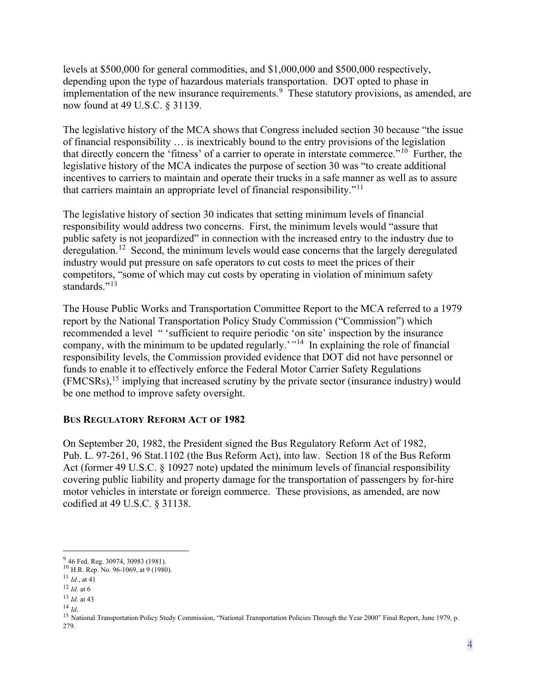levels at \$500,000 for general commodities, and \$1,000,000 and \$500,000 respectively, depending upon the type of hazardous materials transportation. DOT opted to phase in implementation of the new insurance requirements.<sup>[9](#page-5-1)</sup> These statutory provisions, as amended, are now found at 49 U.S.C. § 31139.

The legislative history of the MCA shows that Congress included section 30 because "the issue of financial responsibility … is inextricably bound to the entry provisions of the legislation that directly concern the 'fitness' of a carrier to operate in interstate commerce."[10](#page-5-2) Further, the legislative history of the MCA indicates the purpose of section 30 was "to create additional incentives to carriers to maintain and operate their trucks in a safe manner as well as to assure that carriers maintain an appropriate level of financial responsibility."[11](#page-5-3)

The legislative history of section 30 indicates that setting minimum levels of financial responsibility would address two concerns. First, the minimum levels would "assure that public safety is not jeopardized" in connection with the increased entry to the industry due to deregulation.<sup>[12](#page-5-4)</sup> Second, the minimum levels would ease concerns that the largely deregulated industry would put pressure on safe operators to cut costs to meet the prices of their competitors, "some of which may cut costs by operating in violation of minimum safety standards."<sup>[13](#page-5-5)</sup>

The House Public Works and Transportation Committee Report to the MCA referred to a 1979 report by the National Transportation Policy Study Commission ("Commission") which recommended a level " 'sufficient to require periodic 'on site' inspection by the insurance company, with the minimum to be updated regularly.'*"*[14](#page-5-6) In explaining the role of financial responsibility levels, the Commission provided evidence that DOT did not have personnel or funds to enable it to effectively enforce the Federal Motor Carrier Safety Regulations (FMCSRs),[15](#page-6-1) [i](#page-6-1)mplying that increased scrutiny by the private sector (insurance industry) would be one method to improve safety oversight.

#### <span id="page-5-0"></span>**BUS REGULATORY REFORM ACT OF 1982**

On September 20, 1982, the President signed the Bus Regulatory Reform Act of 1982, Pub. L. 97-261, 96 Stat.1102 (the Bus Reform Act), into law. Section 18 of the Bus Reform Act (former 49 U.S.C. § 10927 note) updated the minimum levels of financial responsibility covering public liability and property damage for the transportation of passengers by for-hire motor vehicles in interstate or foreign commerce. These provisions, as amended, are now codified at 49 U.S.C. § 31138.

<span id="page-5-1"></span><sup>&</sup>lt;sup>9</sup> 46 Fed. Reg. 30974, 30983 (1981).

<span id="page-5-2"></span><sup>&</sup>lt;sup>10</sup> H.R. Rep. No. 96-1069, at 9 (1980).

<sup>11</sup> *Id.*, at 41

<span id="page-5-4"></span><span id="page-5-3"></span><sup>12</sup> *Id.* at 6

<span id="page-5-5"></span> $\frac{13}{14}$  *Id.* at 43

<span id="page-5-6"></span>

<span id="page-5-7"></span><sup>&</sup>lt;sup>15</sup> National Transportation Policy Study Commission, "National Transportation Policies Through the Year 2000" Final Report, June 1979, p. 279.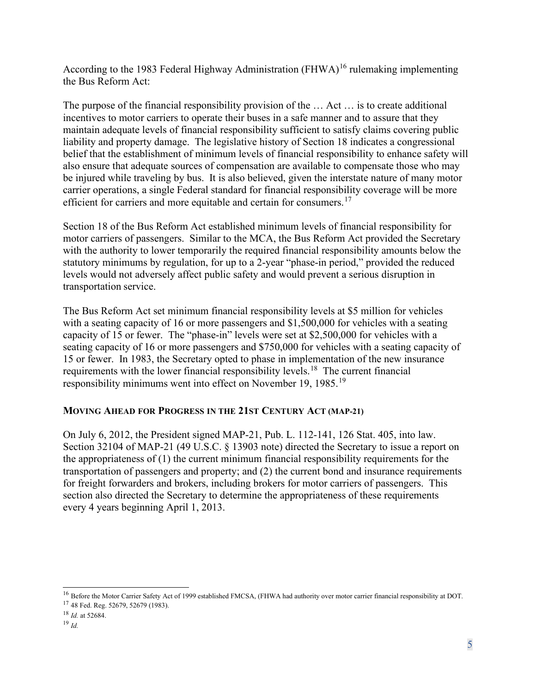Acco[r](#page-6-1)ding to the 1983 Federal Highway Administration  $(FHWA)^{16}$  $(FHWA)^{16}$  $(FHWA)^{16}$  rulemaking implementing the Bus Reform Act:

The purpose of the financial responsibility provision of the … Act … is to create additional incentives to motor carriers to operate their buses in a safe manner and to assure that they maintain adequate levels of financial responsibility sufficient to satisfy claims covering public liability and property damage. The legislative history of Section 18 indicates a congressional belief that the establishment of minimum levels of financial responsibility to enhance safety will also ensure that adequate sources of compensation are available to compensate those who may be injured while traveling by bus. It is also believed, given the interstate nature of many motor carrier operations, a single Federal standard for financial responsibility coverage will be more efficient for carriers and more equitable and certain for consumers.<sup>[17](#page-6-3)</sup>

Section 18 of the Bus Reform Act established minimum levels of financial responsibility for motor carriers of passengers. Similar to the MCA, the Bus Reform Act provided the Secretary with the authority to lower temporarily the required financial responsibility amounts below the statutory minimums by regulation, for up to a 2-year "phase-in period," provided the reduced levels would not adversely affect public safety and would prevent a serious disruption in transportation service.

<span id="page-6-1"></span>The Bus Reform Act set minimum financial responsibility levels at \$5 million for vehicles with a seating capacity of 16 or more passengers and \$1,500,000 for vehicles with a seating capacity of 15 or fewer. The "phase-in" levels were set at \$2,500,000 for vehicles with a seating capacity of 16 or more passengers and \$750,000 for vehicles with a seating capacity of 15 or fewer. In 1983, the Secretary opted to phase in implementation of the new insurance requirements with the lower financial responsibility levels.<sup>[18](#page-6-4)</sup> The current financial responsibility minimums went into effect on November [19](#page-6-5), 1985.<sup>19</sup>

#### <span id="page-6-0"></span>**MOVING AHEAD FOR PROGRESS IN THE 21ST CENTURY ACT (MAP-21)**

On July 6, 2012, the President signed MAP-21, Pub. L. 112-141, 126 Stat. 405, into law. Section 32104 of MAP-21 (49 U.S.C. § 13903 note) directed the Secretary to issue a report on the appropriateness of (1) the current minimum financial responsibility requirements for the transportation of passengers and property; and (2) the current bond and insurance requirements for freight forwarders and brokers, including brokers for motor carriers of passengers. This section also directed the Secretary to determine the appropriateness of these requirements every 4 years beginning April 1, 2013.

<span id="page-6-2"></span><sup>&</sup>lt;sup>16</sup> Before the Motor Carrier Safety Act of 1999 established FMCSA, (FHWA had authority over motor carrier financial responsibility at DOT.

<span id="page-6-3"></span><sup>17</sup> 48 Fed. Reg. 52679, 52679 (1983).

<span id="page-6-4"></span><sup>18</sup> *Id.* at 52684.

<span id="page-6-5"></span><sup>19</sup> *Id.*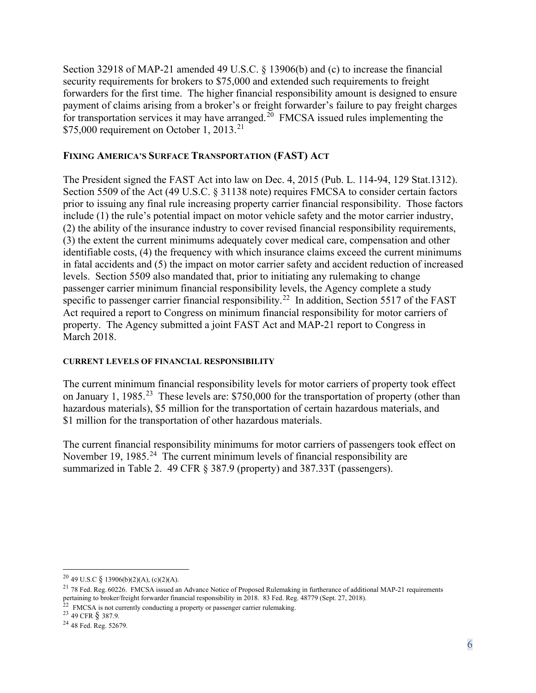Section 32918 of MAP-21 amended 49 U.S.C. § 13906(b) and (c) to increase the financial security requirements for brokers to \$75,000 and extended such requirements to freight forwarders for the first time. The higher financial responsibility amount is designed to ensure payment of claims arising from a broker's or freight forwarder's failure to pay freight charges for transportation services it may have arranged.<sup>[20](#page-7-2)</sup> FMCSA issued rules implementing the \$75,000 requirement on October 1, 2013.<sup>[21](#page-7-3)</sup>

#### <span id="page-7-0"></span>**FIXING AMERICA'S SURFACE TRANSPORTATION (FAST) ACT**

The President signed the FAST Act into law on Dec. 4, 2015 (Pub. L. 114-94, 129 Stat.1312). Section 5509 of the Act (49 U.S.C. § 31138 note) requires FMCSA to consider certain factors prior to issuing any final rule increasing property carrier financial responsibility. Those factors include (1) the rule's potential impact on motor vehicle safety and the motor carrier industry, (2) the ability of the insurance industry to cover revised financial responsibility requirements, (3) the extent the current minimums adequately cover medical care, compensation and other identifiable costs, (4) the frequency with which insurance claims exceed the current minimums in fatal accidents and (5) the impact on motor carrier safety and accident reduction of increased levels. Section 5509 also mandated that, prior to initiating any rulemaking to change passenger carrier minimum financial responsibility levels, the Agency complete a study specific to passenger carrier financial responsibility.<sup>[22](#page-7-4)</sup> In addition, Section 5517 of the FAST Act required a report to Congress on minimum financial responsibility for motor carriers of property. The Agency submitted a joint FAST Act and MAP-21 report to Congress in March 2018.

#### <span id="page-7-1"></span>**CURRENT LEVELS OF FINANCIAL RESPONSIBILITY**

The current minimum financial responsibility levels for motor carriers of property took effect on January 1, 1985<sup>[23](#page-7-5)</sup> These levels are: \$750,000 for the transportation of property (other than hazardous materials), \$5 million for the transportation of certain hazardous materials, and \$1 million for the transportation of other hazardous materials.

The current financial responsibility minimums for motor carriers of passengers took effect on November 19, 1985.<sup>[24](#page-7-6)</sup> The current minimum levels of financial responsibility are summarized in Table 2. 49 CFR  $\S$  387.9 (property) and 387.33T (passengers).

<span id="page-7-2"></span><sup>20</sup> 49 U.S.C § 13906(b)(2)(A), (c)(2)(A).

<span id="page-7-3"></span><sup>21</sup> 78 Fed. Reg. 60226. FMCSA issued an Advance Notice of Proposed Rulemaking in furtherance of additional MAP-21 requirements pertaining to broker/freight forwarder financial responsibility in 2018. 83 Fed. Reg. 48779 (Sept. 27, 2018).

<span id="page-7-4"></span><sup>&</sup>lt;sup>22</sup> FMCSA is not currently conducting a property or passenger carrier rulemaking.<br><sup>23</sup> 49 CFR  $\S$  387.9.

<span id="page-7-6"></span><span id="page-7-5"></span><sup>24</sup> 48 Fed. Reg. 52679.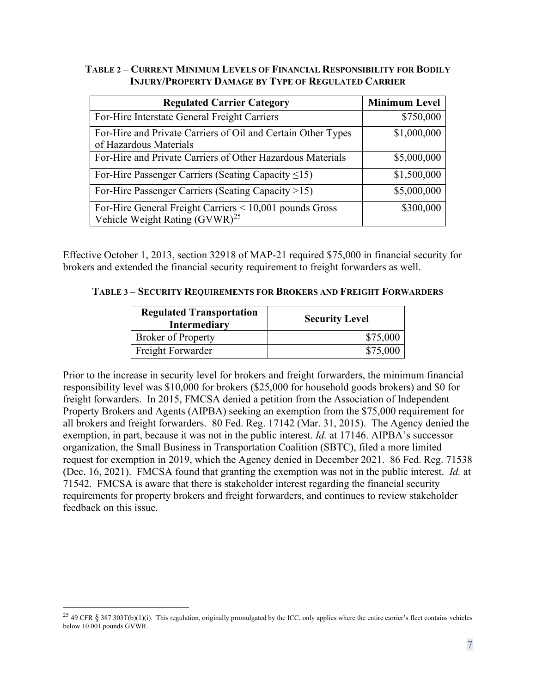#### <span id="page-8-0"></span>**TABLE 2** *–* **CURRENT MINIMUM LEVELS OF FINANCIAL RESPONSIBILITY FOR BODILY INJURY/PROPERTY DAMAGE BY TYPE OF REGULATED CARRIER**

| <b>Regulated Carrier Category</b>                                                                          | <b>Minimum Level</b> |
|------------------------------------------------------------------------------------------------------------|----------------------|
| For-Hire Interstate General Freight Carriers                                                               | \$750,000            |
| For-Hire and Private Carriers of Oil and Certain Other Types<br>of Hazardous Materials                     | \$1,000,000          |
| For-Hire and Private Carriers of Other Hazardous Materials                                                 | \$5,000,000          |
| For-Hire Passenger Carriers (Seating Capacity $\leq$ 15)                                                   | \$1,500,000          |
| For-Hire Passenger Carriers (Seating Capacity >15)                                                         | \$5,000,000          |
| For-Hire General Freight Carriers $\leq 10,001$ pounds Gross<br>Vehicle Weight Rating (GVWR) <sup>25</sup> | \$300,000            |

Effective October 1, 2013, section 32918 of MAP-21 required \$75,000 in financial security for brokers and extended the financial security requirement to freight forwarders as well.

#### <span id="page-8-1"></span>**TABLE 3 – SECURITY REQUIREMENTS FOR BROKERS AND FREIGHT FORWARDERS**

| <b>Regulated Transportation</b><br><b>Intermediary</b> | <b>Security Level</b> |
|--------------------------------------------------------|-----------------------|
| <b>Broker of Property</b>                              | \$75,000              |
| Freight Forwarder                                      | \$75,000              |

Prior to the increase in security level for brokers and freight forwarders, the minimum financial responsibility level was \$10,000 for brokers (\$25,000 for household goods brokers) and \$0 for freight forwarders. In 2015, FMCSA denied a petition from the Association of Independent Property Brokers and Agents (AIPBA) seeking an exemption from the \$75,000 requirement for all brokers and freight forwarders. 80 Fed. Reg. 17142 (Mar. 31, 2015). The Agency denied the exemption, in part, because it was not in the public interest. *Id.* at 17146. AIPBA's successor organization, the Small Business in Transportation Coalition (SBTC), filed a more limited request for exemption in 2019, which the Agency denied in December 2021. 86 Fed. Reg. 71538 (Dec. 16, 2021). FMCSA found that granting the exemption was not in the public interest. *Id.* at 71542. FMCSA is aware that there is stakeholder interest regarding the financial security requirements for property brokers and freight forwarders, and continues to review stakeholder feedback on this issue.

<span id="page-8-2"></span><sup>&</sup>lt;sup>25</sup> 49 CFR § 387.303T(b)(1)(i). This regulation, originally promulgated by the ICC, only applies where the entire carrier's fleet contains vehicles below 10.001 pounds GVWR.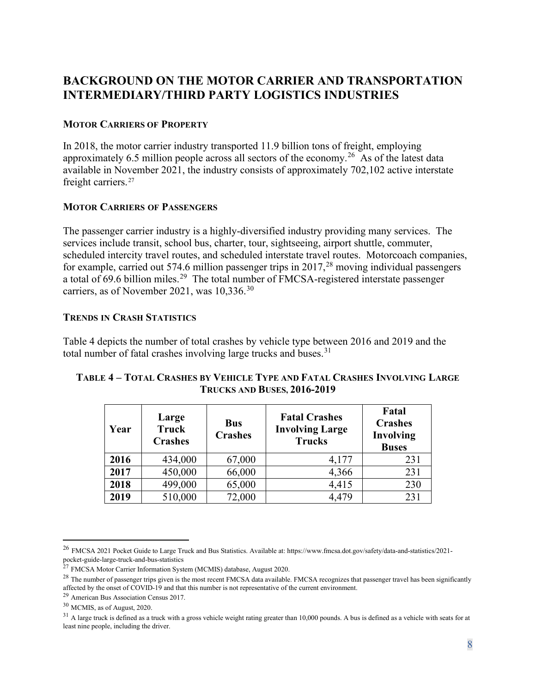# <span id="page-9-0"></span>**BACKGROUND ON THE MOTOR CARRIER AND TRANSPORTATION INTERMEDIARY/THIRD PARTY LOGISTICS INDUSTRIES**

#### <span id="page-9-1"></span>**MOTOR CARRIERS OF PROPERTY**

In 2018, the motor carrier industry transported 11.9 billion tons of freight, employing approximately 6.5 million people across all sectors of the economy.<sup>[26](#page-9-5)</sup> As of the latest data available in November 2021, the industry consists of approximately 702,102 active interstate freight carriers.<sup>[27](#page-9-6)</sup>

#### <span id="page-9-2"></span>**MOTOR CARRIERS OF PASSENGERS**

The passenger carrier industry is a highly-diversified industry providing many services. The services include transit, school bus, charter, tour, sightseeing, airport shuttle, commuter, scheduled intercity travel routes, and scheduled interstate travel routes. Motorcoach companies, for example, carried out 574.6 million passenger trips in  $2017$ ,<sup>[28](#page-9-7)</sup> moving individual passengers a total of 69.6 billion miles.<sup>[29](#page-9-8)</sup> The total number of FMCSA-registered interstate passenger carriers, as of November 2021, was 10,336.<sup>[30](#page-9-9)</sup>

#### <span id="page-9-3"></span>**TRENDS IN CRASH STATISTICS**

Table 4 depicts the number of total crashes by vehicle type between 2016 and 2019 and the total number of fatal crashes involving large trucks and buses.<sup>[31](#page-9-10)</sup>

| Year | Large<br><b>Truck</b><br><b>Crashes</b> | <b>Bus</b><br><b>Crashes</b> | <b>Fatal Crashes</b><br><b>Involving Large</b><br><b>Trucks</b> | Fatal<br><b>Crashes</b><br>Involving<br><b>Buses</b> |
|------|-----------------------------------------|------------------------------|-----------------------------------------------------------------|------------------------------------------------------|
| 2016 | 434,000                                 | 67,000                       | 4,177                                                           | 231                                                  |
| 2017 | 450,000                                 | 66,000                       | 4,366                                                           | 231                                                  |
| 2018 | 499,000                                 | 65,000                       | 4,415                                                           | 230                                                  |
| 2019 | 510,000                                 | 72,000                       | 4,479                                                           | 231                                                  |

#### <span id="page-9-4"></span>**TABLE 4 – TOTAL CRASHES BY VEHICLE TYPE AND FATAL CRASHES INVOLVING LARGE TRUCKS AND BUSES, 2016-2019**

<span id="page-9-5"></span><sup>26</sup> FMCSA 2021 Pocket Guide to Large Truck and Bus Statistics. Available at[: https://www.fmcsa.dot.gov/safety/data-and-statistics/2021](https://www.fmcsa.dot.gov/safety/data-and-statistics/2021-pocket-guide-large-truck-and-bus-statistics) [pocket-guide-large-truck-and-bus-statistics](https://www.fmcsa.dot.gov/safety/data-and-statistics/2021-pocket-guide-large-truck-and-bus-statistics)

<span id="page-9-6"></span><sup>&</sup>lt;sup>27</sup> FMCSA Motor Carrier Information System (MCMIS) database, August 2020.

<span id="page-9-7"></span><sup>&</sup>lt;sup>28</sup> The number of passenger trips given is the most recent FMCSA data available. FMCSA recognizes that passenger travel has been significantly affected by the onset of COVID-19 and that this number is not representative of the current environment.

<span id="page-9-8"></span><sup>29</sup> American Bus Association Census 2017.

<span id="page-9-9"></span><sup>30</sup> MCMIS, as of August, 2020.

<span id="page-9-10"></span> $31$  A large truck is defined as a truck with a gross vehicle weight rating greater than 10,000 pounds. A bus is defined as a vehicle with seats for at least nine people, including the driver.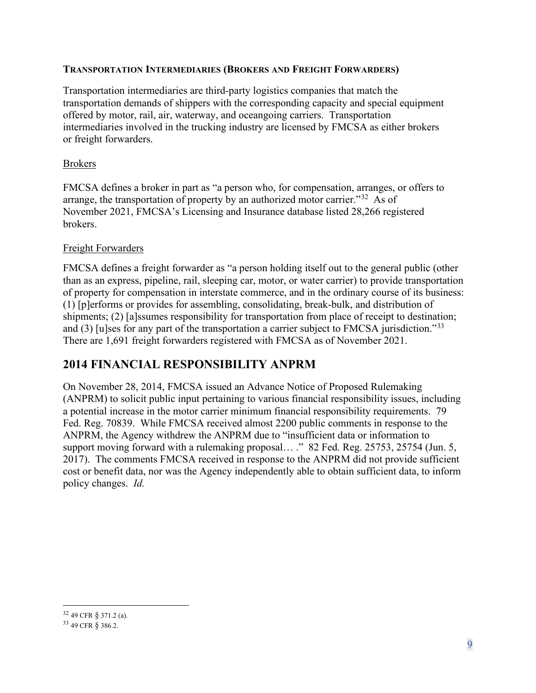#### <span id="page-10-0"></span>**TRANSPORTATION INTERMEDIARIES (BROKERS AND FREIGHT FORWARDERS)**

Transportation intermediaries are third-party logistics companies that match the transportation demands of shippers with the corresponding capacity and special equipment offered by motor, rail, air, waterway, and oceangoing carriers. Transportation intermediaries involved in the trucking industry are licensed by FMCSA as either brokers or freight forwarders.

#### Brokers

FMCSA defines a broker in part as "a person who, for compensation, arranges, or offers to arrange, the transportation of property by an authorized motor carrier.<sup>"32</sup> As of November 2021, FMCSA's Licensing and Insurance database listed 28,266 registered brokers.

#### Freight Forwarders

FMCSA defines a freight forwarder as "a person holding itself out to the general public (other than as an express, pipeline, rail, sleeping car, motor, or water carrier) to provide transportation of property for compensation in interstate commerce, and in the ordinary course of its business: (1) [p]erforms or provides for assembling, consolidating, break-bulk, and distribution of shipments; (2) [a]ssumes responsibility for transportation from place of receipt to destination; and  $(3)$  [u]ses for any part of the transportation a carrier subject to FMCSA jurisdiction."<sup>33</sup> There are 1,691 freight forwarders registered with FMCSA as of November 2021.

## <span id="page-10-1"></span>**2014 FINANCIAL RESPONSIBILITY ANPRM**

On November 28, 2014, FMCSA issued an Advance Notice of Proposed Rulemaking (ANPRM) to solicit public input pertaining to various financial responsibility issues, including a potential increase in the motor carrier minimum financial responsibility requirements. 79 Fed. Reg. 70839. While FMCSA received almost 2200 public comments in response to the ANPRM, the Agency withdrew the ANPRM due to "insufficient data or information to support moving forward with a rulemaking proposal... ." 82 Fed. Reg. 25753, 25754 (Jun. 5, 2017). The comments FMCSA received in response to the ANPRM did not provide sufficient cost or benefit data, nor was the Agency independently able to obtain sufficient data, to inform policy changes. *Id.*

<span id="page-10-2"></span><sup>32</sup> 49 CFR § 371.2 (a).

<span id="page-10-3"></span><sup>33</sup> 49 CFR § 386.2.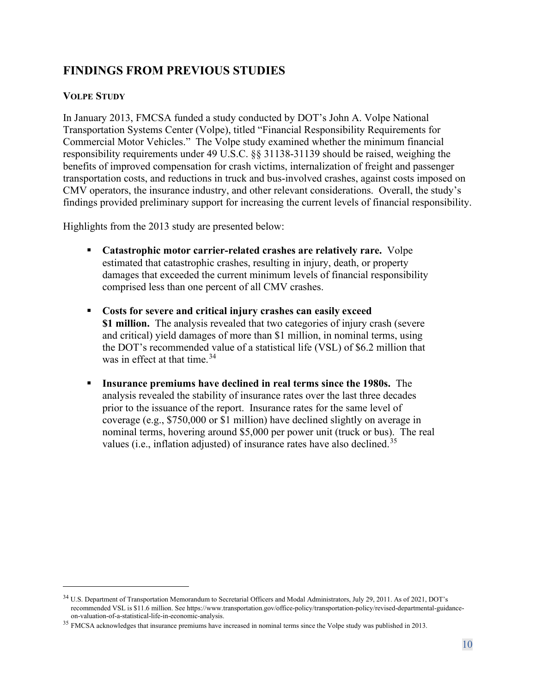# <span id="page-11-0"></span>**FINDINGS FROM PREVIOUS STUDIES**

### <span id="page-11-1"></span>**VOLPE STUDY**

In January 2013, FMCSA funded a study conducted by DOT's John A. Volpe National Transportation Systems Center (Volpe), titled "Financial Responsibility Requirements for Commercial Motor Vehicles." The Volpe study examined whether the minimum financial responsibility requirements under 49 U.S.C. §§ 31138-31139 should be raised, weighing the benefits of improved compensation for crash victims, internalization of freight and passenger transportation costs, and reductions in truck and bus-involved crashes, against costs imposed on CMV operators, the insurance industry, and other relevant considerations. Overall, the study's findings provided preliminary support for increasing the current levels of financial responsibility.

Highlights from the 2013 study are presented below:

- **Catastrophic motor carrier-related crashes are relatively rare.** Volpe estimated that catastrophic crashes, resulting in injury, death, or property damages that exceeded the current minimum levels of financial responsibility comprised less than one percent of all CMV crashes.
- **Costs for severe and critical injury crashes can easily exceed \$1 million.** The analysis revealed that two categories of injury crash (severe and critical) yield damages of more than \$1 million, in nominal terms, using the DOT's recommended value of a statistical life (VSL) of \$6.2 million that was in effect at that time. [34](#page-11-2)
- **Insurance premiums have declined in real terms since the 1980s.** The analysis revealed the stability of insurance rates over the last three decades prior to the issuance of the report. Insurance rates for the same level of coverage (e.g., \$750,000 or \$1 million) have declined slightly on average in nominal terms, hovering around \$5,000 per power unit (truck or bus). The real values (i.e., inflation adjusted) of insurance rates have also declined.<sup>[35](#page-11-3)</sup>

<span id="page-11-2"></span><sup>34</sup> U.S. Department of Transportation Memorandum to Secretarial Officers and Modal Administrators, July 29, 2011. As of 2021, DOT's recommended VSL is \$11.6 million. Se[e https://www.transportation.gov/office-policy/transportation-policy/revised-departmental-guidance-](https://www.transportation.gov/office-policy/transportation-policy/revised-departmental-guidance-on-valuation-of-a-statistical-life-in-economic-analysis)

<span id="page-11-3"></span><sup>&</sup>lt;sup>35</sup> FMCSA acknowledges that insurance premiums have increased in nominal terms since the Volpe study was published in 2013.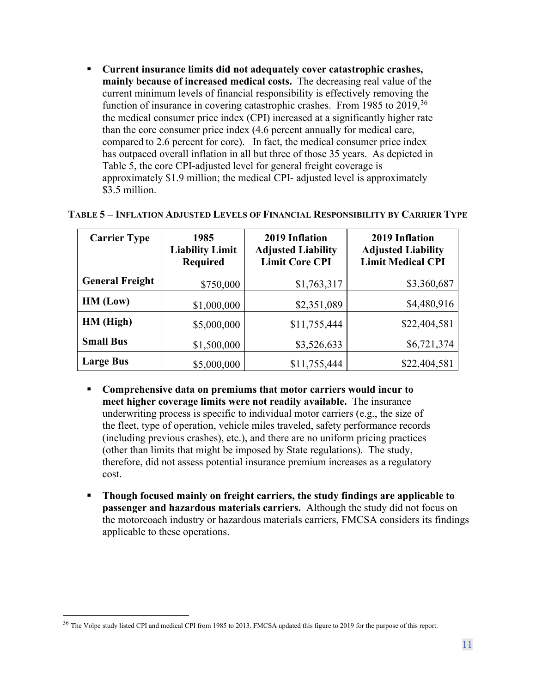**Current insurance limits did not adequately cover catastrophic crashes, mainly because of increased medical costs.** The decreasing real value of the current minimum levels of financial responsibility is effectively removing the function of insurance in covering catastrophic crashes. From 1985 to 2019,<sup>[36](#page-12-1)</sup> the medical consumer price index (CPI) increased at a significantly higher rate than the core consumer price index (4.6 percent annually for medical care, compared to 2.6 percent for core). In fact, the medical consumer price index has outpaced overall inflation in all but three of those 35 years. As depicted in Table 5, the core CPI-adjusted level for general freight coverage is approximately \$1.9 million; the medical CPI- adjusted level is approximately \$3.5 million.

| <b>Carrier Type</b>    | 1985<br><b>Liability Limit</b><br>Required | 2019 Inflation<br><b>Adjusted Liability</b><br><b>Limit Core CPI</b> | 2019 Inflation<br><b>Adjusted Liability</b><br><b>Limit Medical CPI</b> |
|------------------------|--------------------------------------------|----------------------------------------------------------------------|-------------------------------------------------------------------------|
| <b>General Freight</b> | \$750,000                                  | \$1,763,317                                                          | \$3,360,687                                                             |
| HM (Low)               | \$1,000,000                                | \$2,351,089                                                          | \$4,480,916                                                             |
| HM (High)              | \$5,000,000                                | \$11,755,444                                                         | \$22,404,581                                                            |
| <b>Small Bus</b>       | \$1,500,000                                | \$3,526,633                                                          | \$6,721,374                                                             |
| <b>Large Bus</b>       | \$5,000,000                                | \$11,755,444                                                         | \$22,404,581                                                            |

#### <span id="page-12-0"></span>**TABLE 5 – INFLATION ADJUSTED LEVELS OF FINANCIAL RESPONSIBILITY BY CARRIER TYPE**

- **Comprehensive data on premiums that motor carriers would incur to meet higher coverage limits were not readily available.** The insurance underwriting process is specific to individual motor carriers (e.g., the size of the fleet, type of operation, vehicle miles traveled, safety performance records (including previous crashes), etc.), and there are no uniform pricing practices (other than limits that might be imposed by State regulations). The study, therefore, did not assess potential insurance premium increases as a regulatory cost.
- **Though focused mainly on freight carriers, the study findings are applicable to passenger and hazardous materials carriers.** Although the study did not focus on the motorcoach industry or hazardous materials carriers, FMCSA considers its findings applicable to these operations.

<span id="page-12-1"></span><sup>&</sup>lt;sup>36</sup> The Volpe study listed CPI and medical CPI from 1985 to 2013. FMCSA updated this figure to 2019 for the purpose of this report.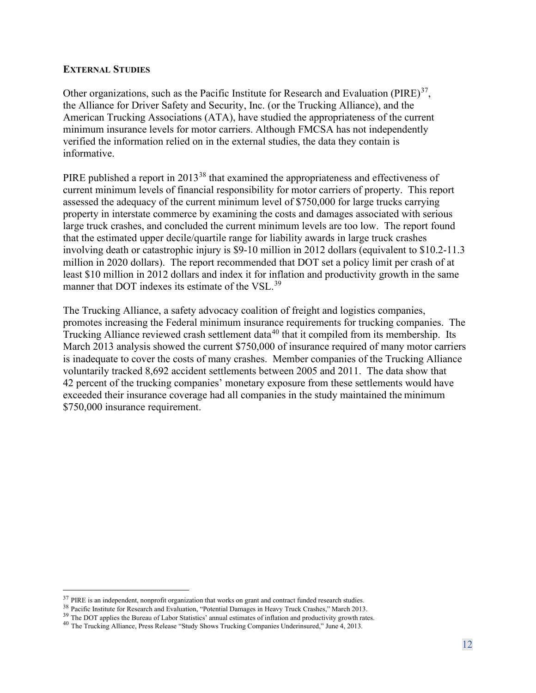#### <span id="page-13-0"></span>**EXTERNAL STUDIES**

Other organizations, such as the Pacific Institute for Research and Evaluation (PIRE) $^{37}$  $^{37}$  $^{37}$ , the Alliance for Driver Safety and Security, Inc. (or the Trucking Alliance), and the American Trucking Associations (ATA), have studied the appropriateness of the current minimum insurance levels for motor carriers. Although FMCSA has not independently verified the information relied on in the external studies, the data they contain is informative.

PIRE published a report in 2013<sup>[38](#page-14-0)</sup> [t](#page-14-0)hat examined the appropriateness and effectiveness of current minimum levels of financial responsibility for motor carriers of property. This report assessed the adequacy of the current minimum level of \$750,000 for large trucks carrying property in interstate commerce by examining the costs and damages associated with serious large truck crashes, and concluded the current minimum levels are too low. The report found that the estimated upper decile/quartile range for liability awards in large truck crashes involving death or catastrophic injury is \$9-10 million in 2012 dollars (equivalent to \$10.2-11.3 million in 2020 dollars). The report recommended that DOT set a policy limit per crash of at least \$10 million in 2012 dollars and index it for inflation and productivity growth in the same manner that DOT indexes its estimate of the VSL.<sup>[39](#page-13-3)</sup>

The Trucking Alliance, a safety advocacy coalition of freight and logistics companies, promotes increasing the Federal minimum insurance requirements for trucking companies. The Trucking Alliance reviewed crash settlement data<sup>[40](#page-14-0)</sup> [t](#page-14-0)hat it compiled from its membership. Its March 2013 analysis showed the current \$750,000 of insurance required of many motor carriers is inadequate to cover the costs of many crashes. Member companies of the Trucking Alliance voluntarily tracked 8,692 accident settlements between 2005 and 2011. The data show that 42 percent of the trucking companies' monetary exposure from these settlements would have exceeded their insurance coverage had all companies in the study maintained the minimum \$750,000 insurance requirement.

<span id="page-13-3"></span><span id="page-13-2"></span>

<span id="page-13-1"></span><sup>&</sup>lt;sup>37</sup> PIRE is an independent, nonprofit organization that works on grant and contract funded research studies.<br><sup>38</sup> Pacific Institute for Research and Evaluation, "Potential Damages in Heavy Truck Crashes," March 2013.<br><sup>39</sup>

<span id="page-13-4"></span>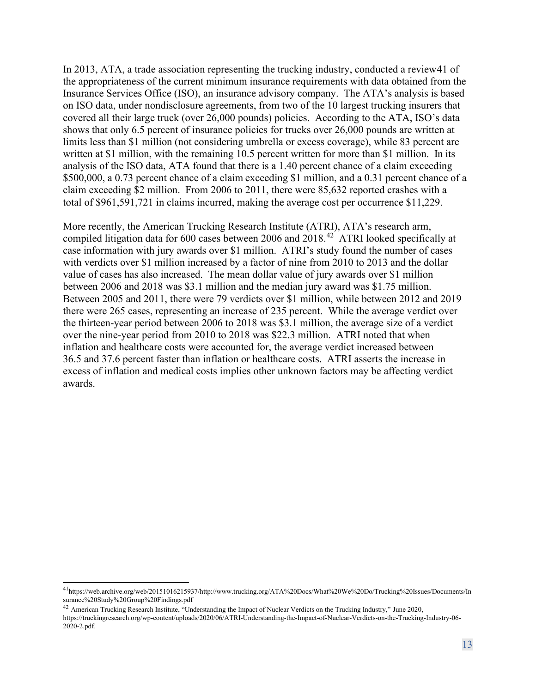In 2013, ATA, a trade association representing the trucking industry, conducted a revie[w41](#page-14-0) [o](#page-14-0)f the appropriateness of the current minimum insurance requirements with data obtained from the Insurance Services Office (ISO), an insurance advisory company. The ATA's analysis is based on ISO data, under nondisclosure agreements, from two of the 10 largest trucking insurers that covered all their large truck (over 26,000 pounds) policies. According to the ATA, ISO's data shows that only 6.5 percent of insurance policies for trucks over 26,000 pounds are written at limits less than \$1 million (not considering umbrella or excess coverage), while 83 percent are written at \$1 million, with the remaining 10.5 percent written for more than \$1 million. In its analysis of the ISO data, ATA found that there is a 1.40 percent chance of a claim exceeding \$500,000, a 0.73 percent chance of a claim exceeding \$1 million, and a 0.31 percent chance of a claim exceeding \$2 million. From 2006 to 2011, there were 85,632 reported crashes with a total of \$961,591,721 in claims incurred, making the average cost per occurrence \$11,229.

<span id="page-14-0"></span>More recently, the American Trucking Research Institute (ATRI), ATA's research arm, compiled litigation data for 600 cases between 2006 and 2018.<sup>[42](#page-14-2)</sup> ATRI looked specifically at case information with jury awards over \$1 million. ATRI's study found the number of cases with verdicts over \$1 million increased by a factor of nine from 2010 to 2013 and the dollar value of cases has also increased. The mean dollar value of jury awards over \$1 million between 2006 and 2018 was \$3.1 million and the median jury award was \$1.75 million. Between 2005 and 2011, there were 79 verdicts over \$1 million, while between 2012 and 2019 there were 265 cases, representing an increase of 235 percent. While the average verdict over the thirteen-year period between 2006 to 2018 was \$3.1 million, the average size of a verdict over the nine-year period from 2010 to 2018 was \$22.3 million. ATRI noted that when inflation and healthcare costs were accounted for, the average verdict increased between 36.5 and 37.6 percent faster than inflation or healthcare costs. ATRI asserts the increase in excess of inflation and medical costs implies other unknown factors may be affecting verdict awards.

<span id="page-14-1"></span><sup>4</sup>[1https://web.archive.org/web/20151016215937/http://www.trucking.org/ATA%20Docs/What%20We%20Do/Trucking%20Issues/Documents/In](https://web.archive.org/web/20151016215937/http:/www.trucking.org/ATA%20Docs/What%20We%20Do/Trucking%20Issues/Documents/Insurance%20Study%20Group%20Findings.pdf) [surance%20Study%20Group%20Findings.pdf](https://web.archive.org/web/20151016215937/http:/www.trucking.org/ATA%20Docs/What%20We%20Do/Trucking%20Issues/Documents/Insurance%20Study%20Group%20Findings.pdf)

<span id="page-14-2"></span><sup>&</sup>lt;sup>42</sup> American Trucking Research Institute, "Understanding the Impact of Nuclear Verdicts on the Trucking Industry," June 2020,

[https://truckingresearch.org/wp-content/uploads/2020/06/ATRI-Understanding-the-Impact-of-Nuclear-Verdicts-on-the-Trucking-Industry-06-](https://truckingresearch.org/wp-content/uploads/2020/06/ATRI-Understanding-the-Impact-of-Nuclear-Verdicts-on-the-Trucking-Industry-06-2020-2.pdf) [2020-2.pdf.](https://truckingresearch.org/wp-content/uploads/2020/06/ATRI-Understanding-the-Impact-of-Nuclear-Verdicts-on-the-Trucking-Industry-06-2020-2.pdf)